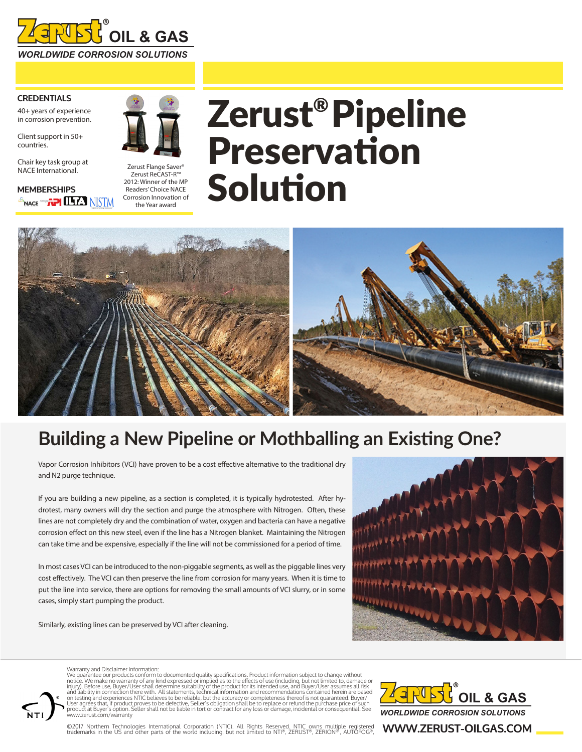

### **CREDENTIALS**

40+ years of experience in corrosion prevention.

Client support in 50+ countries.

Chair key task group at NACE International.

**MEMBERSHIPS SNACE energy TPI LLES NISTM** 



Zerust Flange Saver® Zerust ReCAST-R™ 2012: Winner of the MP Readers' Choice NACE Corrosion Innovation of the Year award

# Zerust®Pipeline Preservation Solution



### **Building a New Pipeline or Mothballing an Existing One?**

Vapor Corrosion Inhibitors (VCI) have proven to be a cost effective alternative to the traditional dry and N2 purge technique.

If you are building a new pipeline, as a section is completed, it is typically hydrotested. After hydrotest, many owners will dry the section and purge the atmosphere with Nitrogen. Often, these lines are not completely dry and the combination of water, oxygen and bacteria can have a negative corrosion effect on this new steel, even if the line has a Nitrogen blanket. Maintaining the Nitrogen can take time and be expensive, especially if the line will not be commissioned for a period of time.

In most cases VCI can be introduced to the non-piggable segments, as well as the piggable lines very cost effectively. The VCI can then preserve the line from corrosion for many years. When it is time to put the line into service, there are options for removing the small amounts of VCI slurry, or in some cases, simply start pumping the product.

Similarly, existing lines can be preserved by VCI after cleaning.



### Warranty and Disclaimer Information:

We guarantee our products conform to documented quality specifications. Product information subject to change without<br>notice. We make no warranty of any kind expressed or implied as to the effects of use (including, but no on testing and experiences NTIC believes to be reliable, but the accuracy or completeness thereof is not guaranteed. Buyer/<br>User agrees that, if product proves to be defective, Seller's obligation shall be to replace or re www.zerust.com/warranty



©2017 Northern Technologies International Corporation (NTIC). All Rights Reserved. NTIC owns multiple registered<br>trademarks in the US and other parts of the world including, but not limited to NTI®, ZERUST®, ZERION®, AUTOF